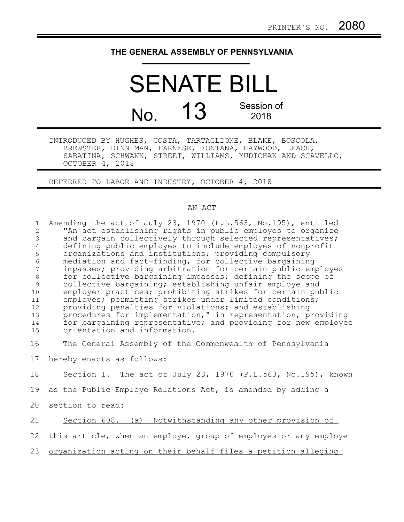# **THE GENERAL ASSEMBLY OF PENNSYLVANIA**

# SENATE BILL No. **13** Session of 2018

INTRODUCED BY HUGHES, COSTA, TARTAGLIONE, BLAKE, BOSCOLA, BREWSTER, DINNIMAN, FARNESE, FONTANA, HAYWOOD, LEACH, SABATINA, SCHWANK, STREET, WILLIAMS, YUDICHAK AND SCAVELLO, OCTOBER 4, 2018

REFERRED TO LABOR AND INDUSTRY, OCTOBER 4, 2018

#### AN ACT

| $\mathbf{1}$   | Amending the act of July 23, 1970 (P.L.563, No.195), entitled   |
|----------------|-----------------------------------------------------------------|
| 2              | "An act establishing rights in public employes to organize      |
| 3              | and bargain collectively through selected representatives;      |
| $\overline{4}$ | defining public employes to include employes of nonprofit       |
| 5              | organizations and institutions; providing compulsory            |
| $\sqrt{6}$     | mediation and fact-finding, for collective bargaining           |
| $\overline{7}$ | impasses; providing arbitration for certain public employes     |
| $\,8\,$        | for collective bargaining impasses; defining the scope of       |
| 9              | collective bargaining; establishing unfair employe and          |
| 10             | employer practices; prohibiting strikes for certain public      |
| 11             | employes; permitting strikes under limited conditions;          |
| 12             | providing penalties for violations; and establishing            |
| 13             | procedures for implementation," in representation, providing    |
| 14             | for bargaining representative; and providing for new employee   |
| 15             | orientation and information.                                    |
|                |                                                                 |
| 16             | The General Assembly of the Commonwealth of Pennsylvania        |
| 17             | hereby enacts as follows:                                       |
|                |                                                                 |
| 18             | Section 1. The act of July 23, 1970 (P.L.563, No.195), known    |
| 19             | as the Public Employe Relations Act, is amended by adding a     |
|                |                                                                 |
| 20             | section to read:                                                |
| 21             | Section 608. (a) Notwithstanding any other provision of         |
|                |                                                                 |
| 22             | this article, when an employe, group of employes or any employe |
| 23             | organization acting on their behalf files a petition alleging   |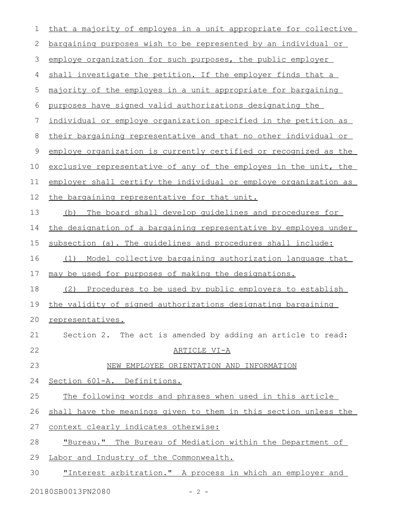| $\mathbf 1$ | that a majority of employes in a unit appropriate for collective       |
|-------------|------------------------------------------------------------------------|
| 2           | bargaining purposes wish to be represented by an individual or         |
| 3           | employe organization for such purposes, the public employer            |
| 4           | shall investigate the petition. If the employer finds that a           |
| 5           | majority of the employes in a unit appropriate for bargaining          |
| 6           | purposes have signed valid authorizations designating the              |
| 7           | <u>individual or employe organization specified in the petition as</u> |
| 8           | their bargaining representative and that no other individual or        |
| 9           | employe organization is currently certified or recognized as the       |
| 10          | exclusive representative of any of the employes in the unit, the       |
| 11          | employer shall certify the individual or employe organization as       |
| 12          | the bargaining representative for that unit.                           |
| 13          | The board shall develop quidelines and procedures for<br>(b)           |
| 14          | the designation of a bargaining representative by employes under       |
| 15          | subsection (a). The quidelines and procedures shall include:           |
| 16          | Model collective bargaining authorization language that<br>(1)         |
| 17          | may be used for purposes of making the designations.                   |
| 18          | (2) Procedures to be used by public employers to establish             |
| 19          | the validity of signed authorizations designating bargaining           |
| 20          | representatives.                                                       |
| 21          | Section 2. The act is amended by adding an article to read:            |
| 22          | ARTICLE VI-A                                                           |
| 23          | NEW EMPLOYEE ORIENTATION AND INFORMATION                               |
| 24          | Section 601-A. Definitions.                                            |
| 25          | The following words and phrases when used in this article              |
| 26          | shall have the meanings given to them in this section unless the       |
| 27          | context clearly indicates otherwise:                                   |
| 28          | "Bureau." The Bureau of Mediation within the Department of             |
| 29          | Labor and Industry of the Commonwealth.                                |
| 30          | "Interest arbitration." A process in which an employer and             |
|             |                                                                        |

20180SB0013PN2080 - 2 -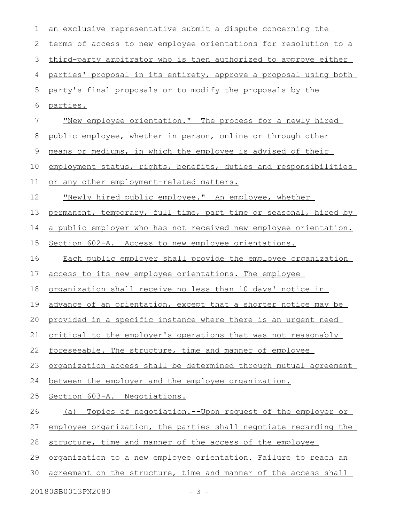| 1                           | an exclusive representative submit a dispute concerning the      |
|-----------------------------|------------------------------------------------------------------|
| 2                           | terms of access to new employee orientations for resolution to a |
| 3                           | third-party arbitrator who is then authorized to approve either  |
| 4                           | parties' proposal in its entirety, approve a proposal using both |
| 5                           | party's final proposals or to modify the proposals by the        |
| 6                           | parties.                                                         |
| 7                           | "New employee orientation." The process for a newly hired        |
| 8                           | public employee, whether in person, online or through other      |
| 9                           | means or mediums, in which the employee is advised of their      |
| 10                          | employment status, rights, benefits, duties and responsibilities |
| 11                          | or any other employment-related matters.                         |
| 12                          | "Newly hired public employee." An employee, whether              |
| 13                          | permanent, temporary, full time, part time or seasonal, hired by |
| 14                          | a public employer who has not received new employee orientation. |
| 15                          | Section 602-A. Access to new employee orientations.              |
| 16                          | Each public employer shall provide the employee organization     |
| 17                          | access to its new employee orientations. The employee            |
| 18                          | organization shall receive no less than 10 days' notice in       |
| 19                          | advance of an orientation, except that a shorter notice may be   |
|                             | 20 provided in a specific instance where there is an urgent need |
| 21                          | critical to the employer's operations that was not reasonably    |
| 22                          | foreseeable. The structure, time and manner of employee          |
| 23                          | organization access shall be determined through mutual agreement |
| 24                          | between the employer and the employee organization.              |
| 25                          | Section 603-A. Negotiations.                                     |
| 26                          | Topics of negotiation.--Upon request of the employer or<br>(a)   |
| 27                          | employee organization, the parties shall negotiate regarding the |
| 28                          | structure, time and manner of the access of the employee         |
| 29                          | organization to a new employee orientation. Failure to reach an  |
| 30                          | agreement on the structure, time and manner of the access shall  |
| 20180SB0013PN2080<br>$-3 -$ |                                                                  |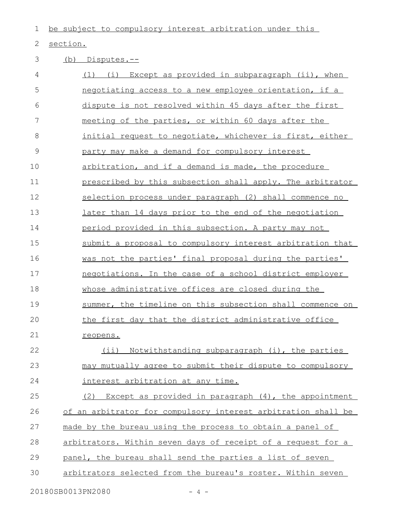1 be subject to compulsory interest arbitration under this

## 2 section.

## (b) Disputes.-- 3

| 4  | Except as provided in subparagraph (ii), when<br>(1)<br>(i)   |
|----|---------------------------------------------------------------|
| 5  | negotiating access to a new employee orientation, if a        |
| 6  | dispute is not resolved within 45 days after the first        |
| 7  | meeting of the parties, or within 60 days after the           |
| 8  | initial request to negotiate, whichever is first, either      |
| 9  | party may make a demand for compulsory interest               |
| 10 | arbitration, and if a demand is made, the procedure           |
| 11 | prescribed by this subsection shall apply. The arbitrator     |
| 12 | selection process under paragraph (2) shall commence no       |
| 13 | later than 14 days prior to the end of the negotiation        |
| 14 | period provided in this subsection. A party may not           |
| 15 | submit a proposal to compulsory interest arbitration that     |
| 16 | was not the parties' final proposal during the parties'       |
| 17 | negotiations. In the case of a school district employer       |
| 18 | whose administrative offices are closed during the            |
| 19 | summer, the timeline on this subsection shall commence on     |
| 20 | the first day that the district administrative office         |
| 21 | reopens.                                                      |
| 22 | Notwithstanding subparagraph (i), the parties<br>(i)          |
| 23 | may mutually agree to submit their dispute to compulsory      |
| 24 | interest arbitration at any time.                             |
| 25 | (2) Except as provided in paragraph (4), the appointment      |
| 26 | of an arbitrator for compulsory interest arbitration shall be |
| 27 | made by the bureau using the process to obtain a panel of     |
| 28 | arbitrators. Within seven days of receipt of a request for a  |
| 29 | panel, the bureau shall send the parties a list of seven      |
| 30 | arbitrators selected from the bureau's roster. Within seven   |
|    |                                                               |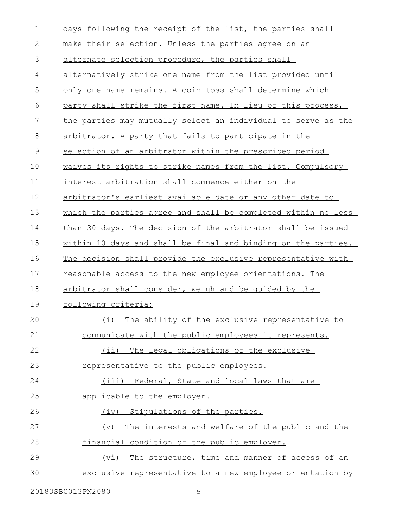| $\mathbf 1$  | days following the receipt of the list, the parties shall            |
|--------------|----------------------------------------------------------------------|
| $\mathbf{2}$ | make their selection. Unless the parties agree on an                 |
| 3            | alternate selection procedure, the parties shall                     |
| 4            | alternatively strike one name from the list provided until           |
| 5            | only one name remains. A coin toss shall determine which             |
| 6            | party shall strike the first name. In lieu of this process,          |
| 7            | the parties may mutually select an individual to serve as the        |
| $\,8\,$      | arbitrator. A party that fails to participate in the                 |
| $\mathsf 9$  | selection of an arbitrator within the prescribed period              |
| 10           | waives its rights to strike names from the list. Compulsory          |
| 11           | interest arbitration shall commence either on the                    |
| 12           | arbitrator's earliest available date or any other date to            |
| 13           | which the parties agree and shall be completed within no less        |
| 14           | than 30 days. The decision of the arbitrator shall be issued         |
| 15           | within 10 days and shall be final and binding on the parties.        |
| 16           | The decision shall provide the exclusive representative with         |
| 17           | reasonable access to the new employee orientations. The              |
| 18           | arbitrator shall consider, weigh and be guided by the                |
| 19           | following criteria:                                                  |
| 20           | (i)<br>The ability of the exclusive representative to                |
| 21           | communicate with the public employees it represents.                 |
| 22           | (i)<br>The legal obligations of the exclusive                        |
| 23           | representative to the public employees.                              |
| 24           | (iii) Federal, State and local laws that are                         |
| 25           | applicable to the employer.                                          |
| 26           | (iv) Stipulations of the parties.                                    |
| 27           | The interests and welfare of the public and the<br>$(\triangledown)$ |
| 28           | financial condition of the public employer.                          |
| 29           | The structure, time and manner of access of an<br>(vi)               |
| 30           | exclusive representative to a new employee orientation by            |

20180SB0013PN2080 - 5 -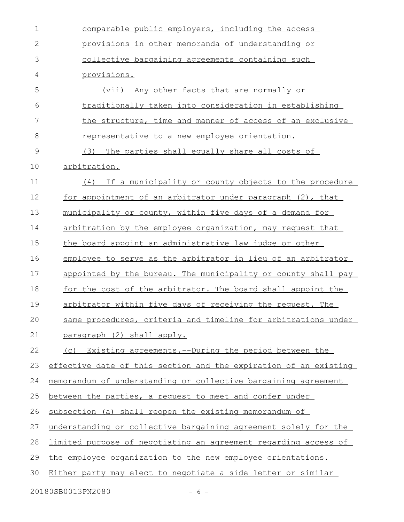| 1             | comparable public employers, including the access                |
|---------------|------------------------------------------------------------------|
| $\mathbf{2}$  | provisions in other memoranda of understanding or                |
| 3             | collective bargaining agreements containing such                 |
| 4             | provisions.                                                      |
| 5             | (vii) Any other facts that are normally or                       |
| 6             | traditionally taken into consideration in establishing           |
| 7             | the structure, time and manner of access of an exclusive         |
| 8             | representative to a new employee orientation.                    |
| $\mathcal{G}$ | The parties shall equally share all costs of<br>(3)              |
| 10            | arbitration.                                                     |
| 11            | If a municipality or county objects to the procedure<br>(4)      |
| 12            | for appointment of an arbitrator under paragraph (2), that       |
| 13            | municipality or county, within five days of a demand for         |
| 14            | arbitration by the employee organization, may request that       |
| 15            | the board appoint an administrative law judge or other           |
| 16            | employee to serve as the arbitrator in lieu of an arbitrator     |
| 17            | appointed by the bureau. The municipality or county shall pay    |
| 18            | for the cost of the arbitrator. The board shall appoint the      |
| 19            | arbitrator within five days of receiving the request. The        |
| 20            | same procedures, criteria and timeline for arbitrations under    |
| 21            | paragraph (2) shall apply.                                       |
| 22            | (c) Existing agreements.--During the period between the          |
| 23            | effective date of this section and the expiration of an existing |
| 24            | memorandum of understanding or collective bargaining agreement   |
| 25            | between the parties, a request to meet and confer under          |
| 26            | subsection (a) shall reopen the existing memorandum of           |
| 27            | understanding or collective bargaining agreement solely for the  |
| 28            | limited purpose of negotiating an agreement regarding access of  |
| 29            | the employee organization to the new employee orientations.      |
| 30            | Either party may elect to negotiate a side letter or similar     |
|               |                                                                  |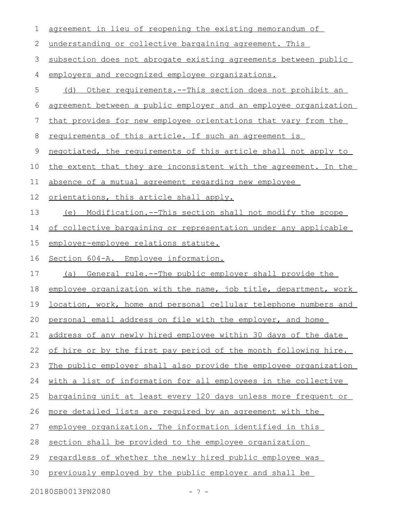| 1  | agreement in lieu of reopening the existing memorandum of        |
|----|------------------------------------------------------------------|
| 2  | understanding or collective bargaining agreement. This           |
| 3  | subsection does not abrogate existing agreements between public  |
| 4  | employers and recognized employee organizations.                 |
| 5  | Other requirements.--This section does not prohibit an<br>(d)    |
| 6  | agreement between a public employer and an employee organization |
| 7  | that provides for new employee orientations that vary from the   |
| 8  | requirements of this article. If such an agreement is            |
| 9  | negotiated, the requirements of this article shall not apply to  |
| 10 | the extent that they are inconsistent with the agreement. In the |
| 11 | absence of a mutual agreement regarding new employee             |
| 12 | orientations, this article shall apply.                          |
| 13 | (e) Modification.--This section shall not modify the scope       |
| 14 | of collective bargaining or representation under any applicable  |
| 15 | employer-employee relations statute.                             |
| 16 | Section 604-A. Employee information.                             |
| 17 | General rule.--The public employer shall provide the<br>(a)      |
| 18 | employee organization with the name, job title, department, work |
| 19 | location, work, home and personal cellular telephone numbers and |
| 20 | personal email address on file with the employer, and home       |
| 21 | address of any newly hired employee within 30 days of the date   |
| 22 | of hire or by the first pay period of the month following hire.  |
| 23 | The public employer shall also provide the employee organization |
| 24 | with a list of information for all employees in the collective   |
| 25 | bargaining unit at least every 120 days unless more frequent or  |
| 26 | more detailed lists are required by an agreement with the        |
| 27 | employee organization. The information identified in this        |
| 28 | section shall be provided to the employee organization           |
| 29 | regardless of whether the newly hired public employee was        |
| 30 | previously employed by the public employer and shall be          |
|    |                                                                  |

20180SB0013PN2080 - 7 -